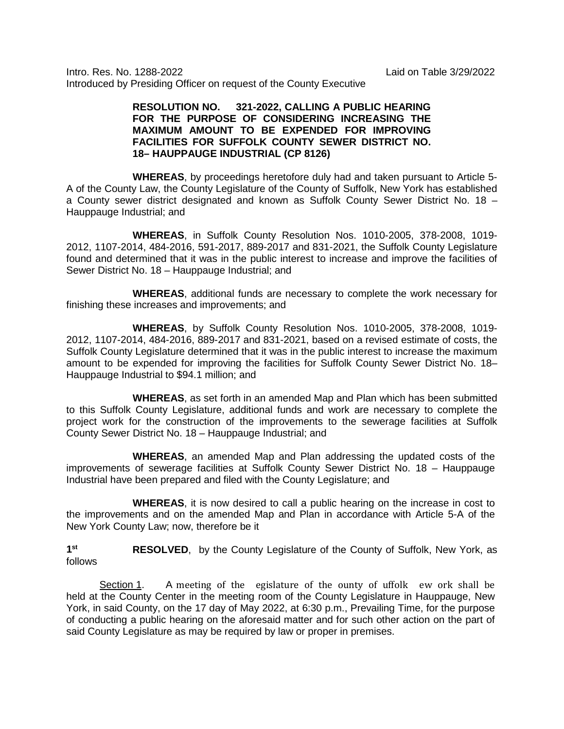Intro. Res. No. 1288-2022 Laid on Table 3/29/2022 Introduced by Presiding Officer on request of the County Executive

## **RESOLUTION NO. 321-2022, CALLING A PUBLIC HEARING FOR THE PURPOSE OF CONSIDERING INCREASING THE MAXIMUM AMOUNT TO BE EXPENDED FOR IMPROVING FACILITIES FOR SUFFOLK COUNTY SEWER DISTRICT NO. 18– HAUPPAUGE INDUSTRIAL (CP 8126)**

**WHEREAS**, by proceedings heretofore duly had and taken pursuant to Article 5- A of the County Law, the County Legislature of the County of Suffolk, New York has established a County sewer district designated and known as Suffolk County Sewer District No. 18 – Hauppauge Industrial; and

**WHEREAS**, in Suffolk County Resolution Nos. 1010-2005, 378-2008, 1019- 2012, 1107-2014, 484-2016, 591-2017, 889-2017 and 831-2021, the Suffolk County Legislature found and determined that it was in the public interest to increase and improve the facilities of Sewer District No. 18 – Hauppauge Industrial; and

**WHEREAS**, additional funds are necessary to complete the work necessary for finishing these increases and improvements; and

**WHEREAS**, by Suffolk County Resolution Nos. 1010-2005, 378-2008, 1019- 2012, 1107-2014, 484-2016, 889-2017 and 831-2021, based on a revised estimate of costs, the Suffolk County Legislature determined that it was in the public interest to increase the maximum amount to be expended for improving the facilities for Suffolk County Sewer District No. 18– Hauppauge Industrial to \$94.1 million; and

**WHEREAS**, as set forth in an amended Map and Plan which has been submitted to this Suffolk County Legislature, additional funds and work are necessary to complete the project work for the construction of the improvements to the sewerage facilities at Suffolk County Sewer District No. 18 – Hauppauge Industrial; and

**WHEREAS**, an amended Map and Plan addressing the updated costs of the improvements of sewerage facilities at Suffolk County Sewer District No. 18 – Hauppauge Industrial have been prepared and filed with the County Legislature; and

**WHEREAS**, it is now desired to call a public hearing on the increase in cost to the improvements and on the amended Map and Plan in accordance with Article 5-A of the New York County Law; now, therefore be it

**1st RESOLVED**, by the County Legislature of the County of Suffolk, New York, as follows

Section 1. A meeting of the egislature of the ounty of uffolk ew ork shall be held at the County Center in the meeting room of the County Legislature in Hauppauge, New York, in said County, on the 17 day of May 2022, at 6:30 p.m., Prevailing Time, for the purpose of conducting a public hearing on the aforesaid matter and for such other action on the part of said County Legislature as may be required by law or proper in premises.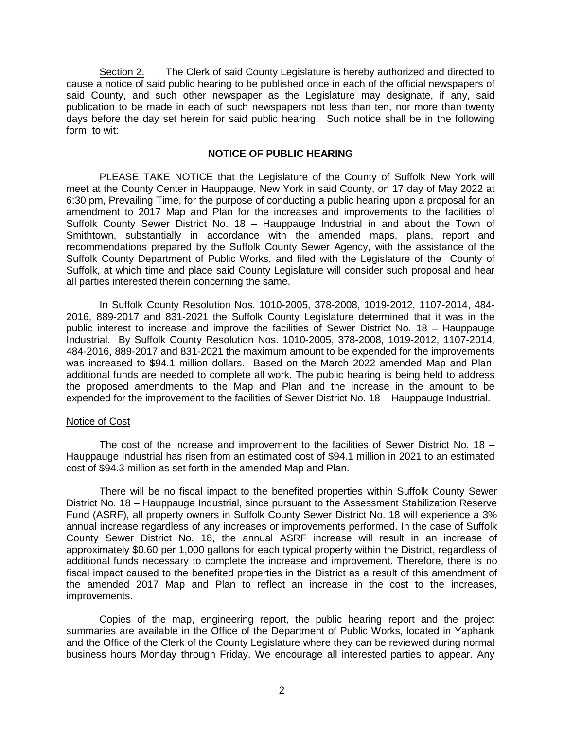Section 2. The Clerk of said County Legislature is hereby authorized and directed to cause a notice of said public hearing to be published once in each of the official newspapers of said County, and such other newspaper as the Legislature may designate, if any, said publication to be made in each of such newspapers not less than ten, nor more than twenty days before the day set herein for said public hearing. Such notice shall be in the following form, to wit:

## **NOTICE OF PUBLIC HEARING**

PLEASE TAKE NOTICE that the Legislature of the County of Suffolk New York will meet at the County Center in Hauppauge, New York in said County, on 17 day of May 2022 at 6:30 pm, Prevailing Time, for the purpose of conducting a public hearing upon a proposal for an amendment to 2017 Map and Plan for the increases and improvements to the facilities of Suffolk County Sewer District No. 18 – Hauppauge Industrial in and about the Town of Smithtown, substantially in accordance with the amended maps, plans, report and recommendations prepared by the Suffolk County Sewer Agency, with the assistance of the Suffolk County Department of Public Works, and filed with the Legislature of the County of Suffolk, at which time and place said County Legislature will consider such proposal and hear all parties interested therein concerning the same.

In Suffolk County Resolution Nos. 1010-2005, 378-2008, 1019-2012, 1107-2014, 484- 2016, 889-2017 and 831-2021 the Suffolk County Legislature determined that it was in the public interest to increase and improve the facilities of Sewer District No. 18 – Hauppauge Industrial. By Suffolk County Resolution Nos. 1010-2005, 378-2008, 1019-2012, 1107-2014, 484-2016, 889-2017 and 831-2021 the maximum amount to be expended for the improvements was increased to \$94.1 million dollars. Based on the March 2022 amended Map and Plan, additional funds are needed to complete all work. The public hearing is being held to address the proposed amendments to the Map and Plan and the increase in the amount to be expended for the improvement to the facilities of Sewer District No. 18 – Hauppauge Industrial.

## Notice of Cost

The cost of the increase and improvement to the facilities of Sewer District No. 18 – Hauppauge Industrial has risen from an estimated cost of \$94.1 million in 2021 to an estimated cost of \$94.3 million as set forth in the amended Map and Plan.

There will be no fiscal impact to the benefited properties within Suffolk County Sewer District No. 18 – Hauppauge Industrial, since pursuant to the Assessment Stabilization Reserve Fund (ASRF), all property owners in Suffolk County Sewer District No. 18 will experience a 3% annual increase regardless of any increases or improvements performed. In the case of Suffolk County Sewer District No. 18, the annual ASRF increase will result in an increase of approximately \$0.60 per 1,000 gallons for each typical property within the District, regardless of additional funds necessary to complete the increase and improvement. Therefore, there is no fiscal impact caused to the benefited properties in the District as a result of this amendment of the amended 2017 Map and Plan to reflect an increase in the cost to the increases, improvements.

Copies of the map, engineering report, the public hearing report and the project summaries are available in the Office of the Department of Public Works, located in Yaphank and the Office of the Clerk of the County Legislature where they can be reviewed during normal business hours Monday through Friday. We encourage all interested parties to appear. Any